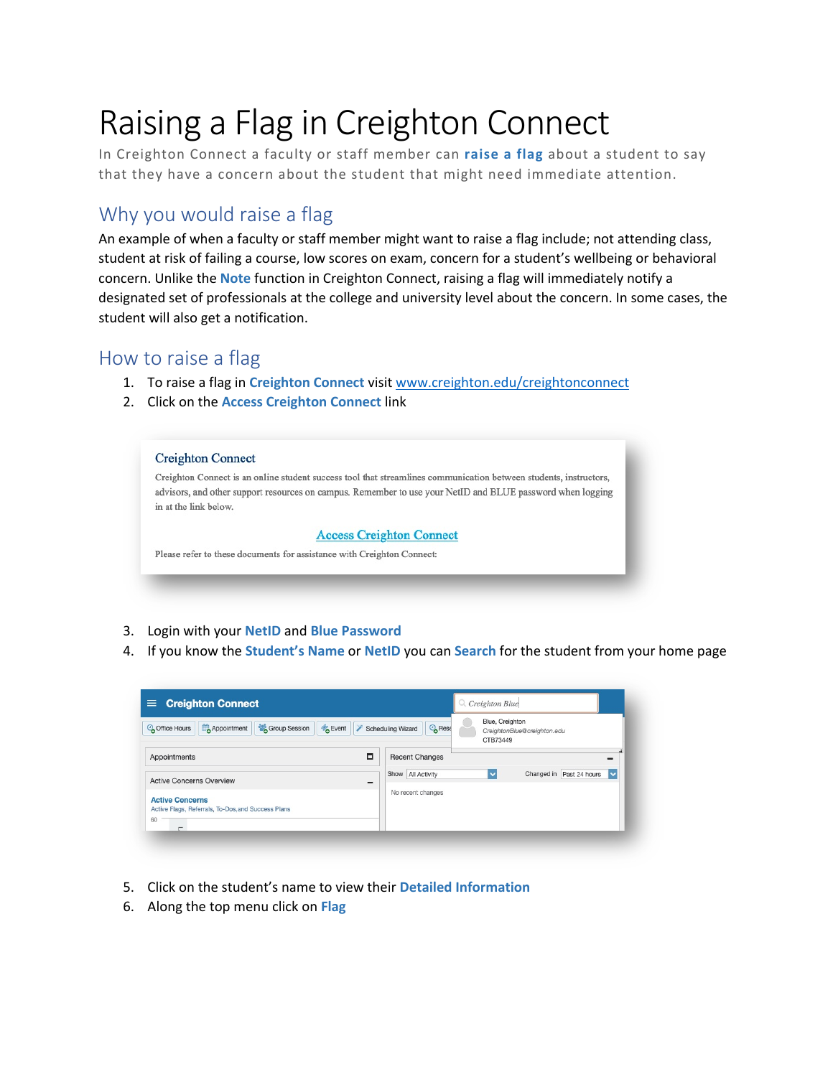# Raising a Flag in Creighton Connect

In Creighton Connect a faculty or staff member can **raise a flag** about a student to say that they have a concern about the student that might need immediate attention.

## Why you would raise a flag

An example of when a faculty or staff member might want to raise a flag include; not attending class, student at risk of failing a course, low scores on exam, concern for a student's wellbeing or behavioral concern. Unlike the **Note** function in Creighton Connect, raising a flag will immediately notify a designated set of professionals at the college and university level about the concern. In some cases, the student will also get a notification.

### How to raise a flag

- 1. To raise a flag in **Creighton Connect** visit [www.creighton.edu/creightonconnect](http://www.creighton.edu/creightonconnect)
- 2. Click on the **Access Creighton Connect** link



- 3. Login with your **NetID** and **Blue Password**
- 4. If you know the **Student's Name** or **NetID** you can **Search** for the student from your home page

| <b>Creighton Connect</b><br>=                                                      | $Q$ , Creighton Blue                                                                             |
|------------------------------------------------------------------------------------|--------------------------------------------------------------------------------------------------|
| Group Session<br><b>B</b> Event<br>Appointment<br>Coffice Hours                    | Blue, Creighton<br><b>O</b> Rese<br>Scheduling Wizard<br>CreightonBlue@creighton.edu<br>CTB73449 |
| о<br>Appointments                                                                  | <b>Recent Changes</b>                                                                            |
| <b>Active Concerns Overview</b><br>$\equiv$                                        | Changed in Past 24 hours<br>Show All Activity<br>$\overline{\mathbf{v}}$<br>$\checkmark$         |
| <b>Active Concerns</b><br>Active Flags, Referrals, To-Dos, and Success Plans<br>60 | No recent changes                                                                                |

- 5. Click on the student's name to view their **Detailed Information**
- 6. Along the top menu click on **Flag**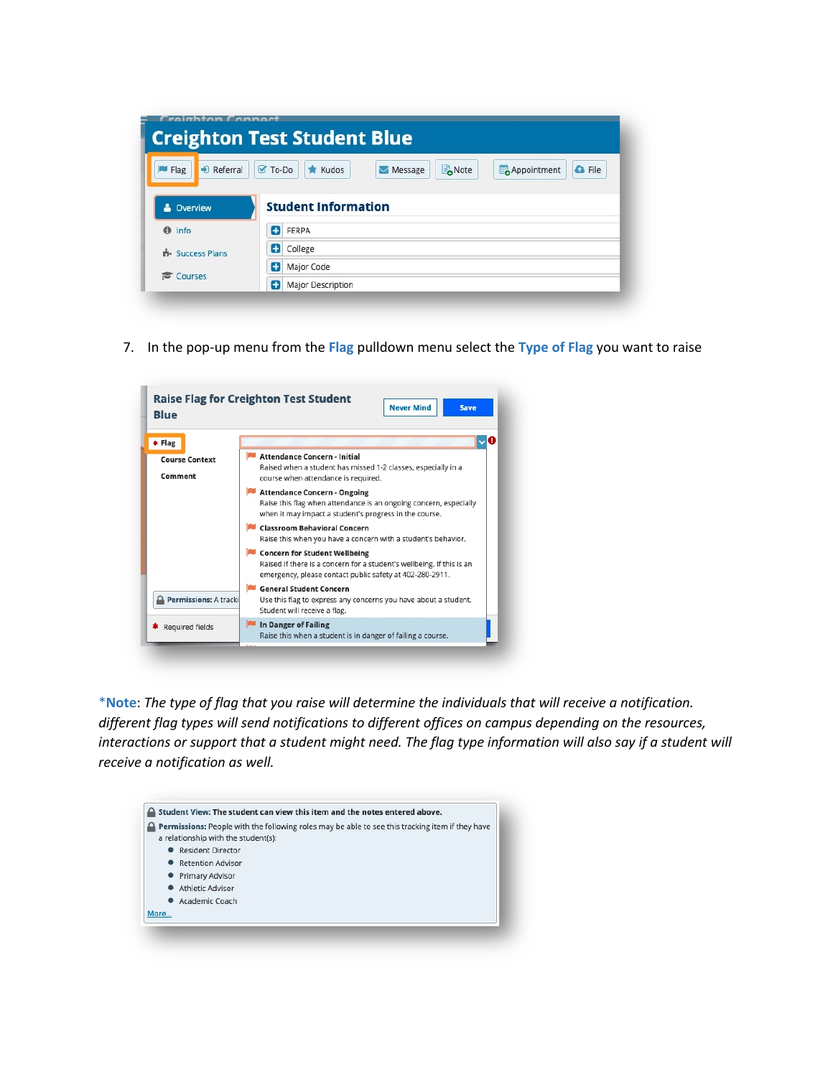| <b>Creighton Test Student Blue</b> |                                                                                                             |  |  |  |  |  |  |
|------------------------------------|-------------------------------------------------------------------------------------------------------------|--|--|--|--|--|--|
| $\Rightarrow$ Referral<br>$M$ Flag | Note<br>$\sigma$ To-Do<br><b>G</b> File<br>$\bigstar$ Kudos<br>Appointment<br>$\blacktriangleright$ Message |  |  |  |  |  |  |
|                                    |                                                                                                             |  |  |  |  |  |  |
|                                    | <b>Student Information</b>                                                                                  |  |  |  |  |  |  |
| & Overview                         |                                                                                                             |  |  |  |  |  |  |
|                                    |                                                                                                             |  |  |  |  |  |  |
| $\theta$ Info                      | FERPA<br>÷                                                                                                  |  |  |  |  |  |  |
| <b>B</b> - Success Plans           | Œ<br>College                                                                                                |  |  |  |  |  |  |

7. In the pop-up menu from the **Flag** pulldown menu select the **Type of Flag** you want to raise



\***Note**: *The type of flag that you raise will determine the individuals that will receive a notification. different flag types will send notifications to different offices on campus depending on the resources, interactions or support that a student might need. The flag type information will also say if a student will receive a notification as well.*

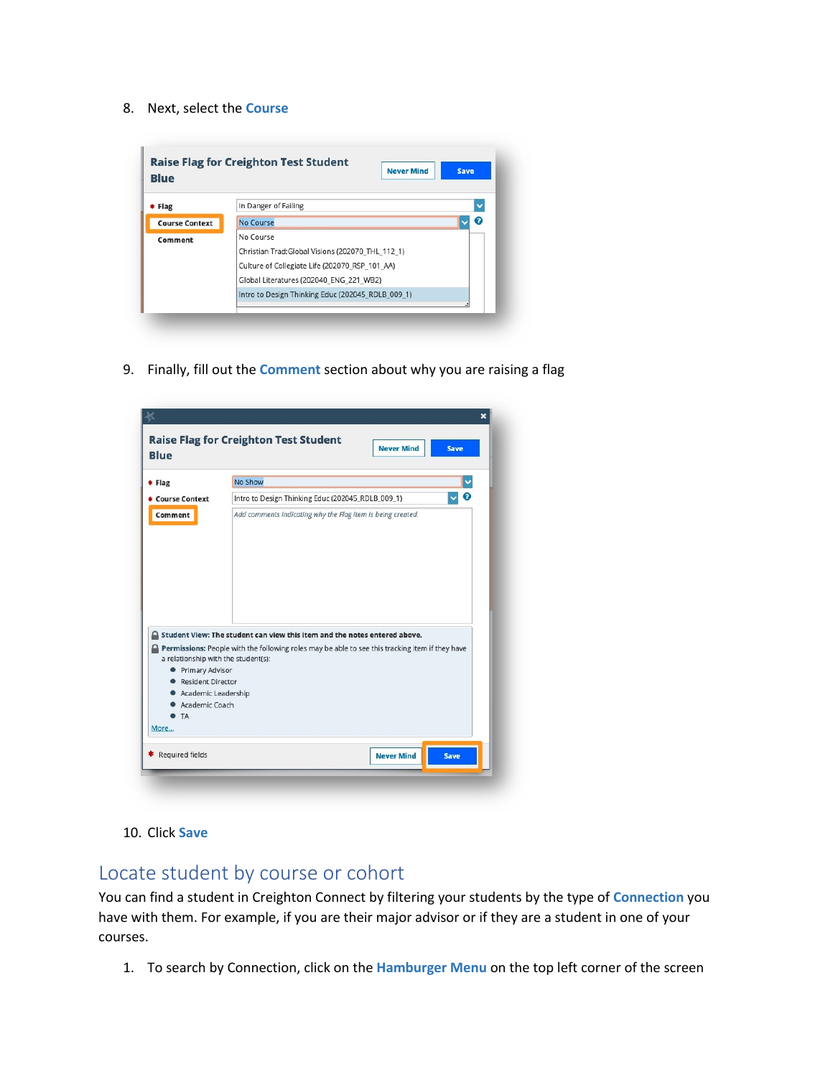#### 8. Next, select the **Course**

| <b>Blue</b>           | <b>Never Mind</b>                                 | <b>Save</b> |  |  |  |  |  |
|-----------------------|---------------------------------------------------|-------------|--|--|--|--|--|
| * Flag                | In Danger of Failing                              |             |  |  |  |  |  |
| <b>Course Context</b> | No Course                                         | 7           |  |  |  |  |  |
| Comment               | No Course                                         |             |  |  |  |  |  |
|                       | Christian Trad:Global Visions (202070 THL 112 1)  |             |  |  |  |  |  |
|                       | Culture of Collegiate Life (202070 RSP_101 AA)    |             |  |  |  |  |  |
|                       | Global Literatures (202040 ENG 221 WB2)           |             |  |  |  |  |  |
|                       | Intro to Design Thinking Educ (202045 RDLB 009 1) |             |  |  |  |  |  |

9. Finally, fill out the **Comment** section about why you are raising a flag

| * Flag                                                                                                                                        | No Show                                                                                                                                                                      |  |  |  |  |  |  |
|-----------------------------------------------------------------------------------------------------------------------------------------------|------------------------------------------------------------------------------------------------------------------------------------------------------------------------------|--|--|--|--|--|--|
|                                                                                                                                               |                                                                                                                                                                              |  |  |  |  |  |  |
| * Course Context                                                                                                                              | ℯ<br>Intro to Design Thinking Educ (202045_RDLB_009_1)                                                                                                                       |  |  |  |  |  |  |
|                                                                                                                                               |                                                                                                                                                                              |  |  |  |  |  |  |
| a relationship with the student(s):<br><b>• Primary Advisor</b><br>Resident Director<br>Academic Leadership<br>Academic Coach<br>$\bullet$ TA | Student View: The student can view this item and the notes entered above.<br>Permissions: People with the following roles may be able to see this tracking item if they have |  |  |  |  |  |  |

10. Click **Save**

## Locate student by course or cohort

You can find a student in Creighton Connect by filtering your students by the type of **Connection** you have with them. For example, if you are their major advisor or if they are a student in one of your courses.

1. To search by Connection, click on the **Hamburger Menu** on the top left corner of the screen